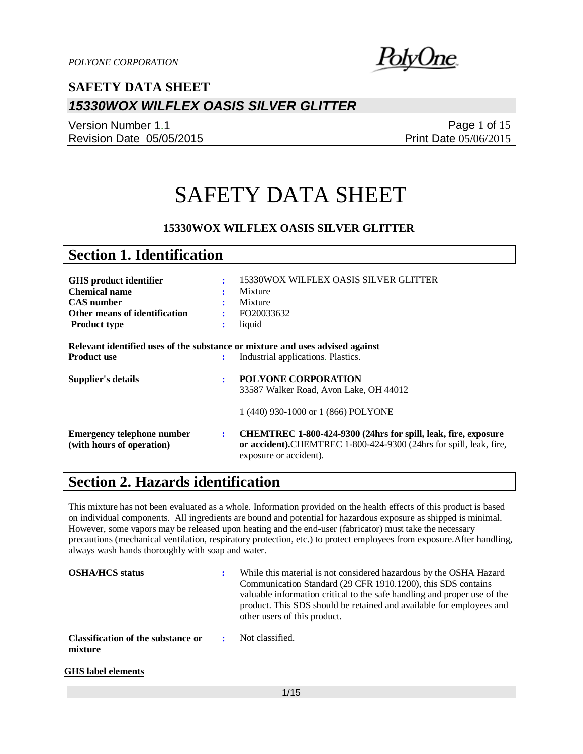

Version Number 1.1 Revision Date 05/05/2015

Page 1 of 15 Print Date 05/06/2015

# SAFETY DATA SHEET

### **15330WOX WILFLEX OASIS SILVER GLITTER**

| <b>Section 1. Identification</b>  |                |                                                                                              |
|-----------------------------------|----------------|----------------------------------------------------------------------------------------------|
|                                   |                |                                                                                              |
| <b>GHS</b> product identifier     | $\ddot{\cdot}$ | 15330WOX WILFLEX OASIS SILVER GLITTER                                                        |
| <b>Chemical name</b>              |                | Mixture                                                                                      |
| <b>CAS</b> number                 |                | Mixture                                                                                      |
| Other means of identification     |                | FO20033632                                                                                   |
| <b>Product type</b>               | ÷              | liquid                                                                                       |
|                                   |                |                                                                                              |
|                                   |                | Relevant identified uses of the substance or mixture and uses advised against                |
| <b>Product use</b>                | ÷              | Industrial applications. Plastics.                                                           |
|                                   |                |                                                                                              |
| <b>Supplier's details</b>         | ÷              | <b>POLYONE CORPORATION</b>                                                                   |
|                                   |                | 33587 Walker Road, Avon Lake, OH 44012                                                       |
|                                   |                |                                                                                              |
|                                   |                | 1 (440) 930-1000 or 1 (866) POLYONE                                                          |
| <b>Emergency telephone number</b> | ÷              | CHEMTREC 1-800-424-9300 (24hrs for spill, leak, fire, exposure                               |
|                                   |                |                                                                                              |
| (with hours of operation)         |                | or accident).CHEMTREC 1-800-424-9300 (24hrs for spill, leak, fire,<br>exposure or accident). |

## **Section 2. Hazards identification**

This mixture has not been evaluated as a whole. Information provided on the health effects of this product is based on individual components. All ingredients are bound and potential for hazardous exposure as shipped is minimal. However, some vapors may be released upon heating and the end-user (fabricator) must take the necessary precautions (mechanical ventilation, respiratory protection, etc.) to protect employees from exposure.After handling, always wash hands thoroughly with soap and water.

| <b>OSHA/HCS</b> status                               | While this material is not considered hazardous by the OSHA Hazard<br>Communication Standard (29 CFR 1910.1200), this SDS contains<br>valuable information critical to the safe handling and proper use of the<br>product. This SDS should be retained and available for employees and<br>other users of this product. |
|------------------------------------------------------|------------------------------------------------------------------------------------------------------------------------------------------------------------------------------------------------------------------------------------------------------------------------------------------------------------------------|
| <b>Classification of the substance or</b><br>mixture | Not classified.                                                                                                                                                                                                                                                                                                        |

#### **GHS label elements**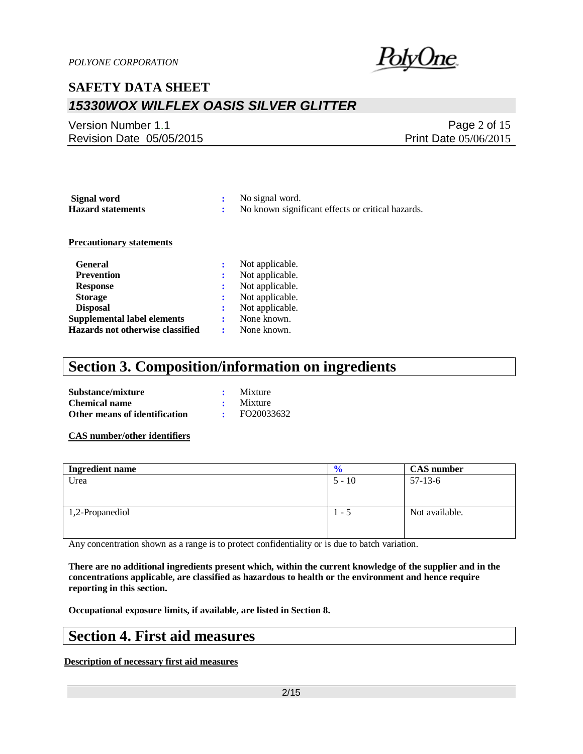

### Version Number 1.1 Revision Date 05/05/2015

Page 2 of 15 Print Date 05/06/2015

| Signal word                      | ÷ | No signal word.                                   |
|----------------------------------|---|---------------------------------------------------|
| <b>Hazard statements</b>         |   | No known significant effects or critical hazards. |
|                                  |   |                                                   |
| <b>Precautionary statements</b>  |   |                                                   |
| <b>General</b>                   | ÷ | Not applicable.                                   |
| <b>Prevention</b>                | ÷ | Not applicable.                                   |
| <b>Response</b>                  | ٠ | Not applicable.                                   |
| <b>Storage</b>                   | ÷ | Not applicable.                                   |
| <b>Disposal</b>                  | : | Not applicable.                                   |
| Supplemental label elements      |   | None known.                                       |
| Hazards not otherwise classified |   | None known.                                       |

## **Section 3. Composition/information on ingredients**

| Substance/mixture             | Mixture         |
|-------------------------------|-----------------|
| <b>Chemical name</b>          | $\cdot$ Mixture |
| Other means of identification | FO20033632      |

**CAS number/other identifiers**

| <b>Ingredient name</b> | $\frac{6}{6}$ | <b>CAS</b> number |
|------------------------|---------------|-------------------|
| Urea                   | $5 - 10$      | $57-13-6$         |
|                        |               |                   |
|                        |               |                   |
| 1,2-Propanediol        | $1 - 5$       | Not available.    |
|                        |               |                   |
|                        |               |                   |

Any concentration shown as a range is to protect confidentiality or is due to batch variation.

**There are no additional ingredients present which, within the current knowledge of the supplier and in the concentrations applicable, are classified as hazardous to health or the environment and hence require reporting in this section.**

**Occupational exposure limits, if available, are listed in Section 8.**

### **Section 4. First aid measures**

**Description of necessary first aid measures**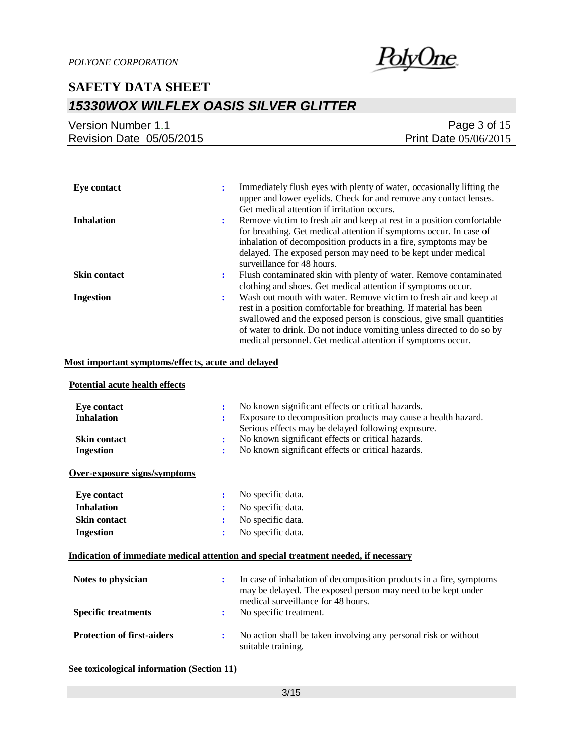

| Version Number 1.1       | Page $3$ of $15$             |
|--------------------------|------------------------------|
| Revision Date 05/05/2015 | <b>Print Date 05/06/2015</b> |

| Eve contact         | Immediately flush eyes with plenty of water, occasionally lifting the<br>÷<br>upper and lower eyelids. Check for and remove any contact lenses.<br>Get medical attention if irritation occurs.                                                                                                                                                               |
|---------------------|--------------------------------------------------------------------------------------------------------------------------------------------------------------------------------------------------------------------------------------------------------------------------------------------------------------------------------------------------------------|
| <b>Inhalation</b>   | Remove victim to fresh air and keep at rest in a position comfortable<br>٠.<br>for breathing. Get medical attention if symptoms occur. In case of<br>inhalation of decomposition products in a fire, symptoms may be<br>delayed. The exposed person may need to be kept under medical<br>surveillance for 48 hours.                                          |
| <b>Skin contact</b> | Flush contaminated skin with plenty of water. Remove contaminated<br>÷<br>clothing and shoes. Get medical attention if symptoms occur.                                                                                                                                                                                                                       |
| <b>Ingestion</b>    | Wash out mouth with water. Remove victim to fresh air and keep at<br>÷<br>rest in a position comfortable for breathing. If material has been<br>swallowed and the exposed person is conscious, give small quantities<br>of water to drink. Do not induce vomiting unless directed to do so by<br>medical personnel. Get medical attention if symptoms occur. |

### **Most important symptoms/effects, acute and delayed**

| Potential acute health effects    |                |                                                                                                                                     |
|-----------------------------------|----------------|-------------------------------------------------------------------------------------------------------------------------------------|
| <b>Eye contact</b>                | $\ddot{\cdot}$ | No known significant effects or critical hazards.                                                                                   |
| <b>Inhalation</b>                 |                | Exposure to decomposition products may cause a health hazard.                                                                       |
|                                   |                | Serious effects may be delayed following exposure.                                                                                  |
| <b>Skin contact</b>               | ÷              | No known significant effects or critical hazards.                                                                                   |
| <b>Ingestion</b>                  | ÷              | No known significant effects or critical hazards.                                                                                   |
| Over-exposure signs/symptoms      |                |                                                                                                                                     |
| <b>Eye contact</b>                | ÷              | No specific data.                                                                                                                   |
| <b>Inhalation</b>                 |                | No specific data.                                                                                                                   |
| <b>Skin contact</b>               |                | No specific data.                                                                                                                   |
| <b>Ingestion</b>                  | ÷              | No specific data.                                                                                                                   |
|                                   |                | Indication of immediate medical attention and special treatment needed, if necessary                                                |
| Notes to physician                | ÷              | In case of inhalation of decomposition products in a fire, symptoms<br>may be delayed. The exposed person may need to be kept under |
| <b>Specific treatments</b>        | ÷              | medical surveillance for 48 hours.<br>No specific treatment.                                                                        |
|                                   |                |                                                                                                                                     |
| <b>Protection of first-aiders</b> | ÷              | No action shall be taken involving any personal risk or without<br>suitable training.                                               |
|                                   |                |                                                                                                                                     |

**See toxicological information (Section 11)**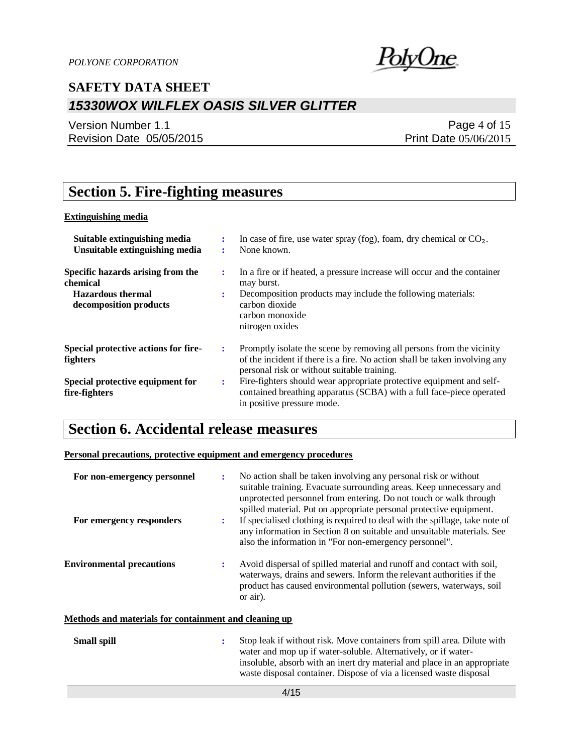

Version Number 1.1 Revision Date 05/05/2015

Page 4 of 15 Print Date 05/06/2015

## **Section 5. Fire-fighting measures**

### **Extinguishing media**

| Suitable extinguishing media<br>Unsuitable extinguishing media                                      |    | In case of fire, use water spray (fog), foam, dry chemical or $CO2$ .<br>None known.                                                                                                                          |
|-----------------------------------------------------------------------------------------------------|----|---------------------------------------------------------------------------------------------------------------------------------------------------------------------------------------------------------------|
| Specific hazards arising from the<br>chemical<br><b>Hazardous</b> thermal<br>decomposition products | ÷  | In a fire or if heated, a pressure increase will occur and the container<br>may burst.<br>Decomposition products may include the following materials:<br>carbon dioxide<br>carbon monoxide<br>nitrogen oxides |
| Special protective actions for fire-<br>fighters                                                    | ÷  | Promptly isolate the scene by removing all persons from the vicinity<br>of the incident if there is a fire. No action shall be taken involving any<br>personal risk or without suitable training.             |
| Special protective equipment for<br>fire-fighters                                                   | ٠. | Fire-fighters should wear appropriate protective equipment and self-<br>contained breathing apparatus (SCBA) with a full face-piece operated<br>in positive pressure mode.                                    |

## **Section 6. Accidental release measures**

**Personal precautions, protective equipment and emergency procedures**

| For non-emergency personnel<br>For emergency responders | ÷<br>÷ | No action shall be taken involving any personal risk or without<br>suitable training. Evacuate surrounding areas. Keep unnecessary and<br>unprotected personnel from entering. Do not touch or walk through<br>spilled material. Put on appropriate personal protective equipment.<br>If specialised clothing is required to deal with the spillage, take note of<br>any information in Section 8 on suitable and unsuitable materials. See<br>also the information in "For non-emergency personnel". |
|---------------------------------------------------------|--------|-------------------------------------------------------------------------------------------------------------------------------------------------------------------------------------------------------------------------------------------------------------------------------------------------------------------------------------------------------------------------------------------------------------------------------------------------------------------------------------------------------|
| <b>Environmental precautions</b>                        | ÷      | Avoid dispersal of spilled material and runoff and contact with soil,<br>waterways, drains and sewers. Inform the relevant authorities if the<br>product has caused environmental pollution (sewers, waterways, soil<br>or air).                                                                                                                                                                                                                                                                      |
| Methods and materials for containment and cleaning up   |        |                                                                                                                                                                                                                                                                                                                                                                                                                                                                                                       |
| <b>Small spill</b>                                      | ÷      | Stop leak if without risk. Move containers from spill area. Dilute with<br>water and mop up if water-soluble. Alternatively, or if water-<br>insoluble, absorb with an inert dry material and place in an appropriate<br>waste disposal container. Dispose of via a licensed waste disposal                                                                                                                                                                                                           |
| 4/15                                                    |        |                                                                                                                                                                                                                                                                                                                                                                                                                                                                                                       |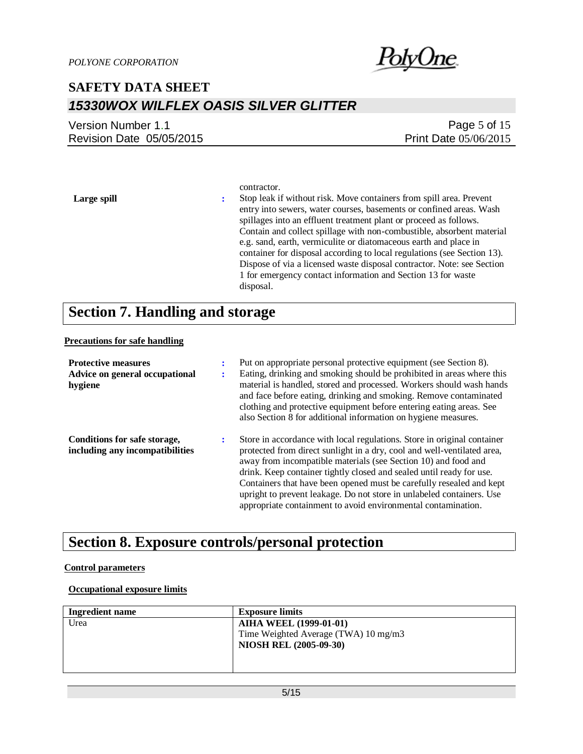

| Version Number 1.1       | Page $5$ of $15$             |
|--------------------------|------------------------------|
| Revision Date 05/05/2015 | <b>Print Date 05/06/2015</b> |

contractor. **Large spill :** Stop leak if without risk. Move containers from spill area. Prevent entry into sewers, water courses, basements or confined areas. Wash spillages into an effluent treatment plant or proceed as follows. Contain and collect spillage with non-combustible, absorbent material e.g. sand, earth, vermiculite or diatomaceous earth and place in container for disposal according to local regulations (see Section 13). Dispose of via a licensed waste disposal contractor. Note: see Section 1 for emergency contact information and Section 13 for waste disposal.

## **Section 7. Handling and storage**

#### **Precautions for safe handling**

| <b>Protective measures</b><br>Advice on general occupational<br>hygiene | ٠ | Put on appropriate personal protective equipment (see Section 8).<br>Eating, drinking and smoking should be prohibited in areas where this<br>material is handled, stored and processed. Workers should wash hands<br>and face before eating, drinking and smoking. Remove contaminated<br>clothing and protective equipment before entering eating areas. See<br>also Section 8 for additional information on hygiene measures.                                                                               |
|-------------------------------------------------------------------------|---|----------------------------------------------------------------------------------------------------------------------------------------------------------------------------------------------------------------------------------------------------------------------------------------------------------------------------------------------------------------------------------------------------------------------------------------------------------------------------------------------------------------|
| Conditions for safe storage,<br>including any incompatibilities         | ÷ | Store in accordance with local regulations. Store in original container<br>protected from direct sunlight in a dry, cool and well-ventilated area,<br>away from incompatible materials (see Section 10) and food and<br>drink. Keep container tightly closed and sealed until ready for use.<br>Containers that have been opened must be carefully resealed and kept<br>upright to prevent leakage. Do not store in unlabeled containers. Use<br>appropriate containment to avoid environmental contamination. |

## **Section 8. Exposure controls/personal protection**

### **Control parameters**

#### **Occupational exposure limits**

| <b>Ingredient name</b> | <b>Exposure limits</b>               |
|------------------------|--------------------------------------|
| Urea                   | <b>AIHA WEEL (1999-01-01)</b>        |
|                        | Time Weighted Average (TWA) 10 mg/m3 |
|                        | <b>NIOSH REL (2005-09-30)</b>        |
|                        |                                      |
|                        |                                      |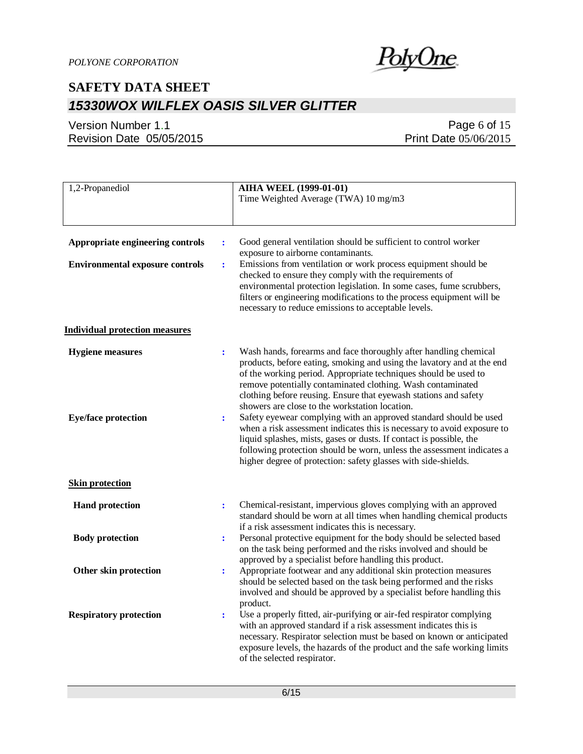

### Version Number 1.1 Revision Date 05/05/2015

### Page 6 of 15 Print Date 05/06/2015

| 1,2-Propanediol                                                                                                | <b>AIHA WEEL (1999-01-01)</b><br>Time Weighted Average (TWA) 10 mg/m3                                                                                                                                                                                                                                                                                                                                                                                                                                                                                                                                                                                                                                                                                                 |
|----------------------------------------------------------------------------------------------------------------|-----------------------------------------------------------------------------------------------------------------------------------------------------------------------------------------------------------------------------------------------------------------------------------------------------------------------------------------------------------------------------------------------------------------------------------------------------------------------------------------------------------------------------------------------------------------------------------------------------------------------------------------------------------------------------------------------------------------------------------------------------------------------|
| Appropriate engineering controls<br>$\ddot{\cdot}$<br><b>Environmental exposure controls</b><br>$\ddot{\cdot}$ | Good general ventilation should be sufficient to control worker<br>exposure to airborne contaminants.<br>Emissions from ventilation or work process equipment should be<br>checked to ensure they comply with the requirements of<br>environmental protection legislation. In some cases, fume scrubbers,<br>filters or engineering modifications to the process equipment will be<br>necessary to reduce emissions to acceptable levels.                                                                                                                                                                                                                                                                                                                             |
| <b>Individual protection measures</b>                                                                          |                                                                                                                                                                                                                                                                                                                                                                                                                                                                                                                                                                                                                                                                                                                                                                       |
| <b>Hygiene</b> measures<br>$\ddot{\cdot}$<br><b>Eye/face protection</b><br>$\ddot{\cdot}$                      | Wash hands, forearms and face thoroughly after handling chemical<br>products, before eating, smoking and using the lavatory and at the end<br>of the working period. Appropriate techniques should be used to<br>remove potentially contaminated clothing. Wash contaminated<br>clothing before reusing. Ensure that eyewash stations and safety<br>showers are close to the workstation location.<br>Safety eyewear complying with an approved standard should be used<br>when a risk assessment indicates this is necessary to avoid exposure to<br>liquid splashes, mists, gases or dusts. If contact is possible, the<br>following protection should be worn, unless the assessment indicates a<br>higher degree of protection: safety glasses with side-shields. |
| <b>Skin protection</b>                                                                                         |                                                                                                                                                                                                                                                                                                                                                                                                                                                                                                                                                                                                                                                                                                                                                                       |
| <b>Hand protection</b><br>$\ddot{\cdot}$<br><b>Body protection</b>                                             | Chemical-resistant, impervious gloves complying with an approved<br>standard should be worn at all times when handling chemical products<br>if a risk assessment indicates this is necessary.<br>Personal protective equipment for the body should be selected based                                                                                                                                                                                                                                                                                                                                                                                                                                                                                                  |
| ÷                                                                                                              | on the task being performed and the risks involved and should be<br>approved by a specialist before handling this product.                                                                                                                                                                                                                                                                                                                                                                                                                                                                                                                                                                                                                                            |
| <b>Other skin protection</b><br>$\ddot{\cdot}$                                                                 | Appropriate footwear and any additional skin protection measures<br>should be selected based on the task being performed and the risks<br>involved and should be approved by a specialist before handling this<br>product.                                                                                                                                                                                                                                                                                                                                                                                                                                                                                                                                            |
| <b>Respiratory protection</b><br>$\ddot{\cdot}$                                                                | Use a properly fitted, air-purifying or air-fed respirator complying<br>with an approved standard if a risk assessment indicates this is<br>necessary. Respirator selection must be based on known or anticipated<br>exposure levels, the hazards of the product and the safe working limits<br>of the selected respirator.                                                                                                                                                                                                                                                                                                                                                                                                                                           |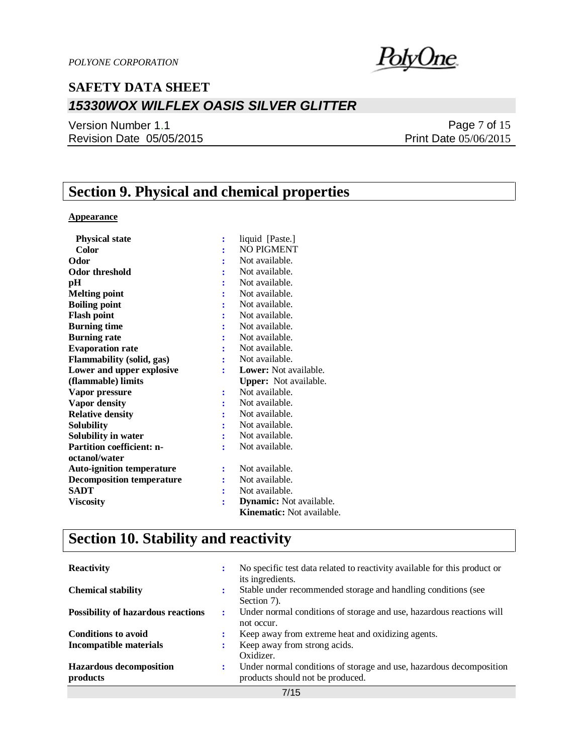<u>PolyOne</u>

Version Number 1.1 Revision Date 05/05/2015

Page 7 of 15 Print Date 05/06/2015

## **Section 9. Physical and chemical properties**

### **Appearance**

| <b>Physical state</b>            | $\ddot{\cdot}$ | liquid [Paste.]                |
|----------------------------------|----------------|--------------------------------|
| Color                            |                | <b>NO PIGMENT</b>              |
| Odor                             |                | Not available.                 |
| Odor threshold                   |                | Not available.                 |
| pН                               |                | Not available.                 |
| <b>Melting point</b>             |                | Not available.                 |
| <b>Boiling point</b>             |                | Not available.                 |
| <b>Flash point</b>               |                | Not available.                 |
| <b>Burning time</b>              |                | Not available.                 |
| <b>Burning rate</b>              |                | Not available.                 |
| <b>Evaporation rate</b>          |                | Not available.                 |
| <b>Flammability (solid, gas)</b> |                | Not available.                 |
| Lower and upper explosive        | ÷              | <b>Lower:</b> Not available.   |
| (flammable) limits               |                | <b>Upper:</b> Not available.   |
| Vapor pressure                   |                | Not available.                 |
| <b>Vapor density</b>             |                | Not available.                 |
| <b>Relative density</b>          |                | Not available.                 |
| <b>Solubility</b>                |                | Not available.                 |
| Solubility in water              |                | Not available.                 |
| <b>Partition coefficient: n-</b> | ÷              | Not available.                 |
| octanol/water                    |                |                                |
| <b>Auto-ignition temperature</b> | $\ddot{\cdot}$ | Not available.                 |
| <b>Decomposition temperature</b> |                | Not available.                 |
| <b>SADT</b>                      |                | Not available.                 |
| <b>Viscosity</b>                 | ÷              | <b>Dynamic:</b> Not available. |
|                                  |                |                                |

## **Section 10. Stability and reactivity**

| <b>Reactivity</b>                          |                      | No specific test data related to reactivity available for this product or<br>its ingredients.           |
|--------------------------------------------|----------------------|---------------------------------------------------------------------------------------------------------|
| <b>Chemical stability</b>                  |                      | Stable under recommended storage and handling conditions (see<br>Section 7).                            |
| <b>Possibility of hazardous reactions</b>  | $\ddot{\phantom{a}}$ | Under normal conditions of storage and use, hazardous reactions will<br>not occur.                      |
| <b>Conditions to avoid</b>                 |                      | Keep away from extreme heat and oxidizing agents.                                                       |
| Incompatible materials                     |                      | Keep away from strong acids.<br>Oxidizer.                                                               |
| <b>Hazardous decomposition</b><br>products | $\bullet$            | Under normal conditions of storage and use, hazardous decomposition<br>products should not be produced. |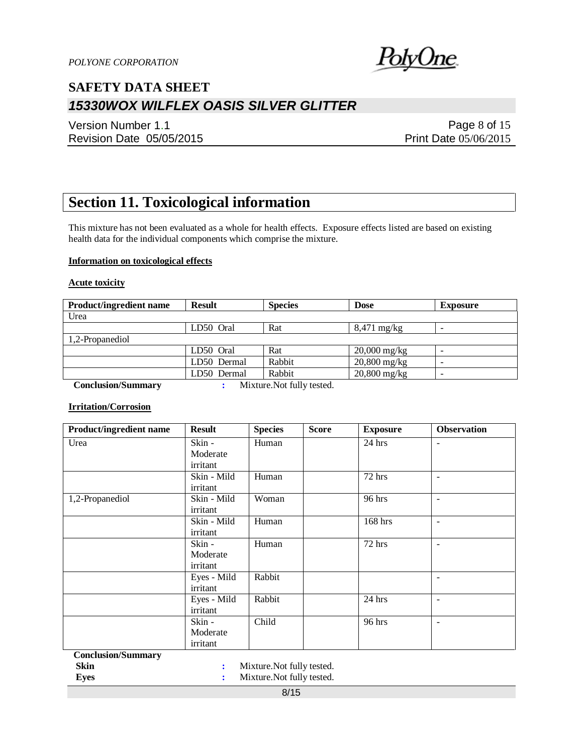

Version Number 1.1 Revision Date 05/05/2015

Page 8 of 15 Print Date 05/06/2015

## **Section 11. Toxicological information**

This mixture has not been evaluated as a whole for health effects. Exposure effects listed are based on existing health data for the individual components which comprise the mixture.

#### **Information on toxicological effects**

#### **Acute toxicity**

| <b>Product/ingredient name</b> | <b>Result</b> | <b>Species</b>                                                                                                                                                                                                                                                                                                                     | <b>Dose</b>           | <b>Exposure</b>          |
|--------------------------------|---------------|------------------------------------------------------------------------------------------------------------------------------------------------------------------------------------------------------------------------------------------------------------------------------------------------------------------------------------|-----------------------|--------------------------|
| Urea                           |               |                                                                                                                                                                                                                                                                                                                                    |                       |                          |
|                                | LD50 Oral     | Rat                                                                                                                                                                                                                                                                                                                                | $8,471 \text{ mg/kg}$ | -                        |
| 1,2-Propanediol                |               |                                                                                                                                                                                                                                                                                                                                    |                       |                          |
|                                | LD50 Oral     | Rat                                                                                                                                                                                                                                                                                                                                | $20,000$ mg/kg        | $\overline{\phantom{0}}$ |
|                                | LD50 Dermal   | Rabbit                                                                                                                                                                                                                                                                                                                             | $20,800$ mg/kg        | -                        |
|                                | LD50 Dermal   | Rabbit                                                                                                                                                                                                                                                                                                                             | $20,800$ mg/kg        | -                        |
| $\sim$<br>$\sim$               |               | $\mathbf{M}$ $\mathbf{M}$ $\mathbf{M}$ $\mathbf{M}$ $\mathbf{M}$ $\mathbf{M}$ $\mathbf{M}$ $\mathbf{M}$ $\mathbf{M}$ $\mathbf{M}$ $\mathbf{M}$ $\mathbf{M}$ $\mathbf{M}$ $\mathbf{M}$ $\mathbf{M}$ $\mathbf{M}$ $\mathbf{M}$ $\mathbf{M}$ $\mathbf{M}$ $\mathbf{M}$ $\mathbf{M}$ $\mathbf{M}$ $\mathbf{M}$ $\mathbf{M}$ $\mathbf{$ |                       |                          |

 **Conclusion/Summary :** Mixture.Not fully tested.

#### **Irritation/Corrosion**

| Product/ingredient name   | <b>Result</b> | <b>Species</b> | <b>Score</b> | <b>Exposure</b> | <b>Observation</b>       |
|---------------------------|---------------|----------------|--------------|-----------------|--------------------------|
| Urea                      | Skin -        | Human          |              | $24$ hrs        | $\overline{\phantom{a}}$ |
|                           | Moderate      |                |              |                 |                          |
|                           | irritant      |                |              |                 |                          |
|                           | Skin - Mild   | Human          |              | $72$ hrs        | ۰                        |
|                           | irritant      |                |              |                 |                          |
| 1,2-Propanediol           | Skin - Mild   | Woman          |              | 96 hrs          | $\overline{\phantom{a}}$ |
|                           | irritant      |                |              |                 |                          |
|                           | Skin - Mild   | Human          |              | 168 hrs         | $\blacksquare$           |
|                           | irritant      |                |              |                 |                          |
|                           | Skin -        | Human          |              | 72 hrs          | $\overline{\phantom{a}}$ |
|                           | Moderate      |                |              |                 |                          |
|                           | irritant      |                |              |                 |                          |
|                           | Eyes - Mild   | Rabbit         |              |                 | $\overline{\phantom{a}}$ |
|                           | irritant      |                |              |                 |                          |
|                           | Eyes - Mild   | Rabbit         |              | $24$ hrs        |                          |
|                           | irritant      |                |              |                 |                          |
|                           | Skin -        | Child          |              | 96 hrs          | $\overline{\phantom{a}}$ |
|                           | Moderate      |                |              |                 |                          |
|                           | irritant      |                |              |                 |                          |
| <b>Conclusion/Summary</b> |               |                |              |                 |                          |

**Skin :** Mixture.Not fully tested.

**Eyes :** Mixture.Not fully tested.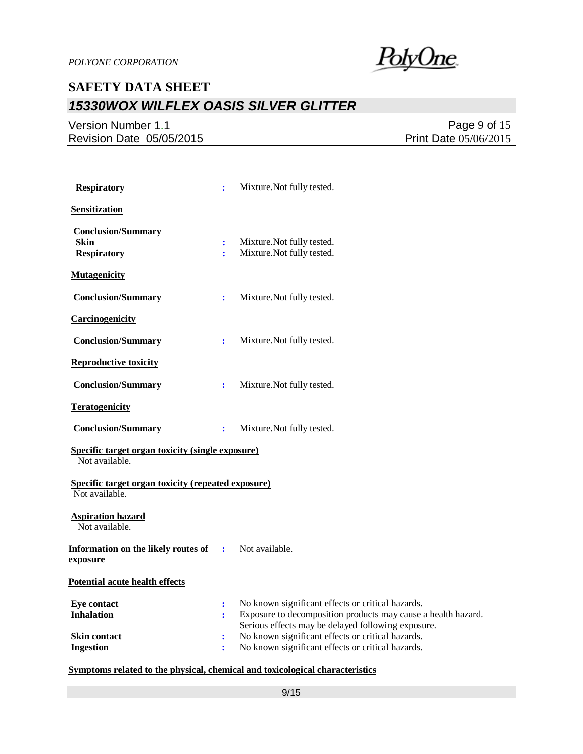

### Version Number 1.1 Revision Date 05/05/2015

Page 9 of 15 Print Date 05/06/2015

| <b>Respiratory</b>                                                          | ÷                    | Mixture. Not fully tested.                                                                                                                                               |
|-----------------------------------------------------------------------------|----------------------|--------------------------------------------------------------------------------------------------------------------------------------------------------------------------|
| <b>Sensitization</b>                                                        |                      |                                                                                                                                                                          |
| <b>Conclusion/Summary</b><br>Skin<br><b>Respiratory</b>                     | $\ddot{\cdot}$<br>ř. | Mixture. Not fully tested.<br>Mixture. Not fully tested.                                                                                                                 |
| <b>Mutagenicity</b>                                                         |                      |                                                                                                                                                                          |
| <b>Conclusion/Summary</b>                                                   | $\ddot{\cdot}$       | Mixture. Not fully tested.                                                                                                                                               |
| <b>Carcinogenicity</b>                                                      |                      |                                                                                                                                                                          |
| <b>Conclusion/Summary</b>                                                   | ÷                    | Mixture. Not fully tested.                                                                                                                                               |
| <b>Reproductive toxicity</b>                                                |                      |                                                                                                                                                                          |
| <b>Conclusion/Summary</b>                                                   | ÷                    | Mixture. Not fully tested.                                                                                                                                               |
| <b>Teratogenicity</b>                                                       |                      |                                                                                                                                                                          |
| <b>Conclusion/Summary</b>                                                   | $\ddot{\cdot}$       | Mixture. Not fully tested.                                                                                                                                               |
| Specific target organ toxicity (single exposure)<br>Not available.          |                      |                                                                                                                                                                          |
| <b>Specific target organ toxicity (repeated exposure)</b><br>Not available. |                      |                                                                                                                                                                          |
| <b>Aspiration hazard</b><br>Not available.                                  |                      |                                                                                                                                                                          |
| Information on the likely routes of<br>exposure                             | ÷                    | Not available.                                                                                                                                                           |
| Potential acute health effects                                              |                      |                                                                                                                                                                          |
| <b>Eye contact</b><br><b>Inhalation</b>                                     | ÷<br>÷               | No known significant effects or critical hazards.<br>Exposure to decomposition products may cause a health hazard.<br>Serious effects may be delayed following exposure. |
| <b>Skin contact</b><br><b>Ingestion</b>                                     | ÷<br>÷               | No known significant effects or critical hazards.<br>No known significant effects or critical hazards.                                                                   |

#### **Symptoms related to the physical, chemical and toxicological characteristics**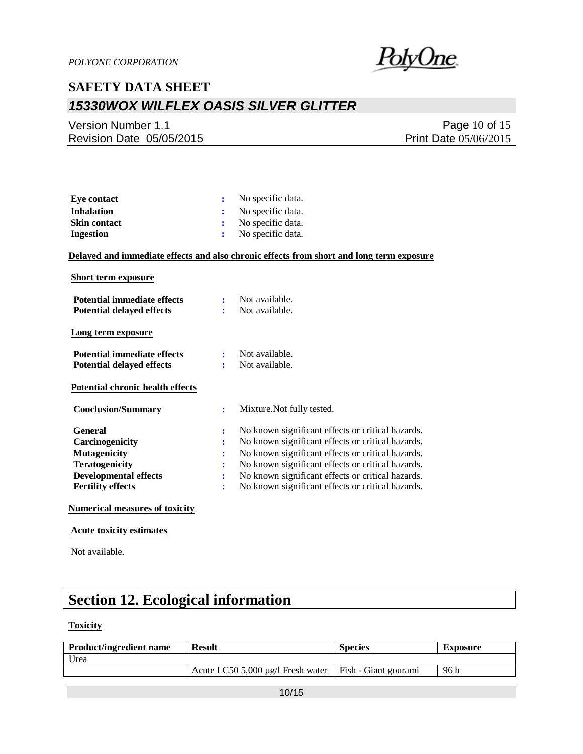

Version Number 1.1 Revision Date 05/05/2015

Page 10 of 15 Print Date 05/06/2015

| Eve contact         | No specific data.   |
|---------------------|---------------------|
| Inhalation          | : No specific data. |
| <b>Skin contact</b> | No specific data.   |
| Ingestion           | No specific data.   |

#### **Delayed and immediate effects and also chronic effects from short and long term exposure**

| <b>Short term exposure</b>                                                                                                                    |                            |                                                                                                                                                                                                                                                                                                                            |
|-----------------------------------------------------------------------------------------------------------------------------------------------|----------------------------|----------------------------------------------------------------------------------------------------------------------------------------------------------------------------------------------------------------------------------------------------------------------------------------------------------------------------|
| <b>Potential immediate effects</b><br><b>Potential delayed effects</b>                                                                        | $\mathbf{r}$               | Not available.<br>Not available.                                                                                                                                                                                                                                                                                           |
| Long term exposure                                                                                                                            |                            |                                                                                                                                                                                                                                                                                                                            |
| <b>Potential immediate effects</b><br><b>Potential delayed effects</b>                                                                        |                            | Not available.<br>Not available.                                                                                                                                                                                                                                                                                           |
| <b>Potential chronic health effects</b>                                                                                                       |                            |                                                                                                                                                                                                                                                                                                                            |
| <b>Conclusion/Summary</b>                                                                                                                     | ÷                          | Mixture. Not fully tested.                                                                                                                                                                                                                                                                                                 |
| General<br><b>Carcinogenicity</b><br><b>Mutagenicity</b><br><b>Teratogenicity</b><br><b>Developmental effects</b><br><b>Fertility effects</b> | ÷<br>፡<br>÷<br>÷<br>÷<br>÷ | No known significant effects or critical hazards.<br>No known significant effects or critical hazards.<br>No known significant effects or critical hazards.<br>No known significant effects or critical hazards.<br>No known significant effects or critical hazards.<br>No known significant effects or critical hazards. |
|                                                                                                                                               |                            |                                                                                                                                                                                                                                                                                                                            |

### **Numerical measures of toxicity**

#### **Acute toxicity estimates**

Not available.

## **Section 12. Ecological information**

### **Toxicity**

| <b>Product/ingredient name</b> | <b>Result</b>                                            | <b>Species</b> | <b>Exposure</b> |
|--------------------------------|----------------------------------------------------------|----------------|-----------------|
| Urea                           |                                                          |                |                 |
|                                | Acute LC50 5,000 µg/l Fresh water   Fish - Giant gourami |                | 96h             |
|                                |                                                          |                |                 |
|                                | $A \cap I$                                               |                |                 |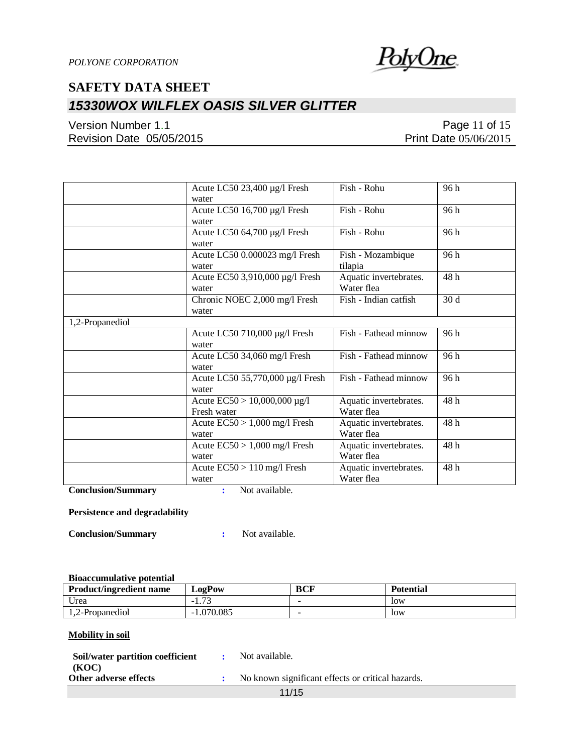

Version Number 1.1 Revision Date 05/05/2015

Page 11 of 15 Print Date 05/06/2015

|                 | Acute LC50 23,400 µg/l Fresh<br>water            | Fish - Rohu                          | 96 h |
|-----------------|--------------------------------------------------|--------------------------------------|------|
|                 | Acute LC50 16,700 µg/l Fresh<br>water            | Fish - Rohu                          | 96 h |
|                 | Acute LC50 64,700 µg/l Fresh<br>water            | Fish - Rohu                          | 96 h |
|                 | Acute LC50 0.000023 mg/l Fresh<br>water          | Fish - Mozambique<br>tilapia         | 96 h |
|                 | Acute EC50 3,910,000 µg/l Fresh<br>water         | Aquatic invertebrates.<br>Water flea | 48h  |
|                 | Chronic NOEC 2,000 mg/l Fresh<br>water           | Fish - Indian catfish                | 30d  |
| 1,2-Propanediol |                                                  |                                      |      |
|                 | Acute LC50 710,000 µg/l Fresh<br>water           | Fish - Fathead minnow                | 96 h |
|                 | Acute LC50 34,060 mg/l Fresh<br>water            | Fish - Fathead minnow                | 96h  |
|                 | Acute LC50 55,770,000 µg/l Fresh<br>water        | Fish - Fathead minnow                | 96 h |
|                 | Acute $EC50 > 10,000,000 \mu g/l$<br>Fresh water | Aquatic invertebrates.<br>Water flea | 48h  |
|                 | Acute $EC50 > 1,000$ mg/l Fresh<br>water         | Aquatic invertebrates.<br>Water flea | 48h  |
|                 | Acute $EC50 > 1,000$ mg/l Fresh<br>water         | Aquatic invertebrates.<br>Water flea | 48h  |
|                 | Acute $EC50 > 110$ mg/l Fresh<br>water           | Aquatic invertebrates.<br>Water flea | 48 h |

**Conclusion/Summary :** Not available.

#### **Persistence and degradability**

**Conclusion/Summary :** Not available.

#### **Bioaccumulative potential**

| <b>Product/ingredient name</b> | $L$ 02 $P$ 0W              | <b>BCF</b> | <b>Potential</b> |
|--------------------------------|----------------------------|------------|------------------|
| Urea                           | $\overline{a}$<br>$-1.1 -$ |            | <b>low</b>       |
| 1,2-Propanediol                | $-1.070.085$               |            | <b>low</b>       |

### **Mobility in soil**

| Soil/water partition coefficient | Not available.                                    |
|----------------------------------|---------------------------------------------------|
| (KOC)                            |                                                   |
| Other adverse effects            | No known significant effects or critical hazards. |

11/15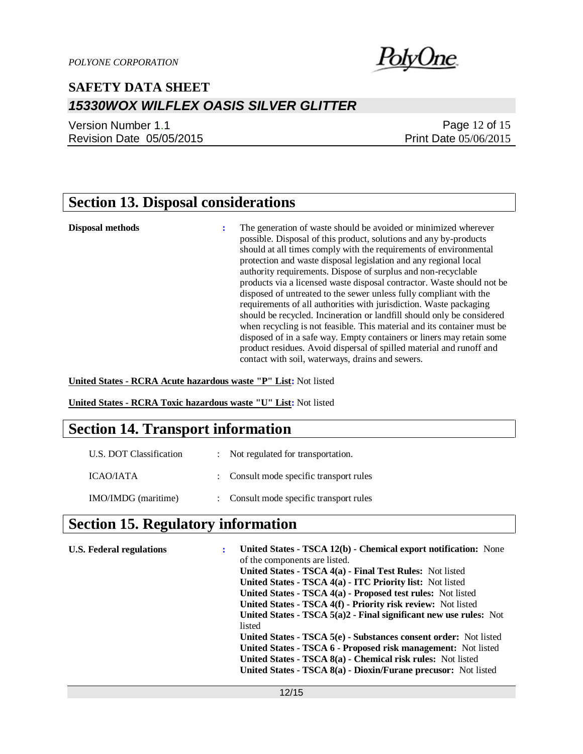

Version Number 1.1 Revision Date 05/05/2015

### Page 12 of 15 Print Date 05/06/2015

## **Section 13. Disposal considerations**

**Disposal methods :** The generation of waste should be avoided or minimized wherever possible. Disposal of this product, solutions and any by-products should at all times comply with the requirements of environmental protection and waste disposal legislation and any regional local authority requirements. Dispose of surplus and non-recyclable products via a licensed waste disposal contractor. Waste should not be disposed of untreated to the sewer unless fully compliant with the requirements of all authorities with jurisdiction. Waste packaging should be recycled. Incineration or landfill should only be considered when recycling is not feasible. This material and its container must be disposed of in a safe way. Empty containers or liners may retain some product residues. Avoid dispersal of spilled material and runoff and contact with soil, waterways, drains and sewers.

**United States - RCRA Acute hazardous waste "P" List:** Not listed

**United States - RCRA Toxic hazardous waste "U" List:** Not listed

### **Section 14. Transport information**

| U.S. DOT Classification | Not regulated for transportation.       |
|-------------------------|-----------------------------------------|
| ICAO/IATA               | : Consult mode specific transport rules |
| IMO/IMDG (maritime)     | : Consult mode specific transport rules |

### **Section 15. Regulatory information**

| <b>U.S. Federal regulations</b> | United States - TSCA 12(b) - Chemical export notification: None   |
|---------------------------------|-------------------------------------------------------------------|
|                                 | of the components are listed.                                     |
|                                 | United States - TSCA 4(a) - Final Test Rules: Not listed          |
|                                 | United States - TSCA 4(a) - ITC Priority list: Not listed         |
|                                 | United States - TSCA 4(a) - Proposed test rules: Not listed       |
|                                 | United States - TSCA 4(f) - Priority risk review: Not listed      |
|                                 | United States - TSCA 5(a)2 - Final significant new use rules: Not |
|                                 | listed                                                            |
|                                 | United States - TSCA 5(e) - Substances consent order: Not listed  |
|                                 | United States - TSCA 6 - Proposed risk management: Not listed     |
|                                 | United States - TSCA 8(a) - Chemical risk rules: Not listed       |
|                                 | United States - TSCA 8(a) - Dioxin/Furane precusor: Not listed    |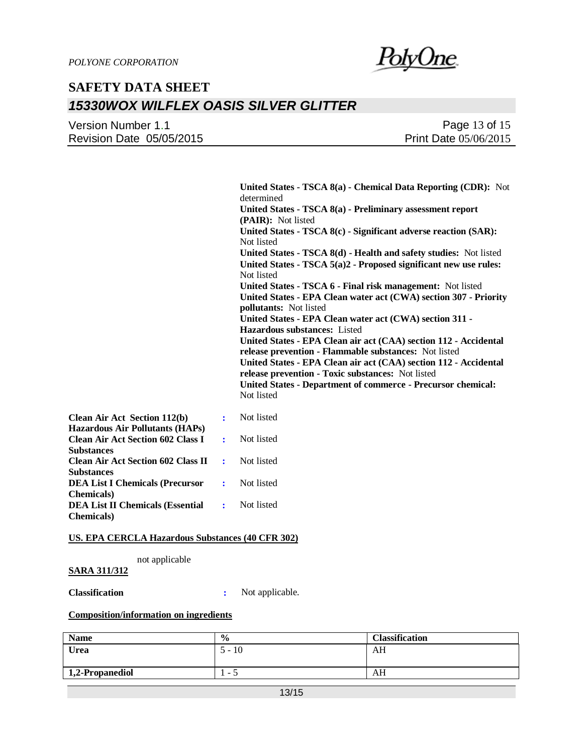

| Version Number 1.1       | Page 13 of 15                |
|--------------------------|------------------------------|
| Revision Date 05/05/2015 | <b>Print Date 05/06/2015</b> |

|                                                      |                | United States - TSCA 8(a) - Chemical Data Reporting (CDR): Not<br>determined                                              |
|------------------------------------------------------|----------------|---------------------------------------------------------------------------------------------------------------------------|
|                                                      |                | United States - TSCA 8(a) - Preliminary assessment report<br>(PAIR): Not listed                                           |
|                                                      |                | United States - TSCA 8(c) - Significant adverse reaction (SAR):<br>Not listed                                             |
|                                                      |                | United States - TSCA 8(d) - Health and safety studies: Not listed                                                         |
|                                                      |                | United States - TSCA $5(a)2$ - Proposed significant new use rules:<br>Not listed                                          |
|                                                      |                | United States - TSCA 6 - Final risk management: Not listed                                                                |
|                                                      |                | United States - EPA Clean water act (CWA) section 307 - Priority                                                          |
|                                                      |                | <b>pollutants:</b> Not listed                                                                                             |
|                                                      |                | United States - EPA Clean water act (CWA) section 311 -                                                                   |
|                                                      |                | <b>Hazardous substances:</b> Listed                                                                                       |
|                                                      |                | United States - EPA Clean air act (CAA) section 112 - Accidental<br>release prevention - Flammable substances: Not listed |
|                                                      |                | United States - EPA Clean air act (CAA) section 112 - Accidental<br>release prevention - Toxic substances: Not listed     |
|                                                      |                | <b>United States - Department of commerce - Precursor chemical:</b>                                                       |
|                                                      |                | Not listed                                                                                                                |
| Air Act Section 112(b)<br>dous Air Pollutants (HAPs) | $\ddot{\cdot}$ | Not listed                                                                                                                |
| <b>Air Act Section 602 Class I</b><br>nces           | ÷              | Not listed                                                                                                                |

| <b>Hazardous Air Pollutants (HAPs)</b>              |            |            |
|-----------------------------------------------------|------------|------------|
| <b>Clean Air Act Section 602 Class I</b>            | $\sim 100$ | Not listed |
| <b>Substances</b>                                   |            |            |
| Clean Air Act Section 602 Class II :                |            | Not listed |
| <b>Substances</b>                                   |            |            |
| <b>DEA List I Chemicals (Precursor :</b> Not listed |            |            |
| <b>Chemicals</b> )                                  |            |            |
| <b>DEA List II Chemicals (Essential:</b>            |            | Not listed |
| <b>Chemicals</b> )                                  |            |            |

#### **US. EPA CERCLA Hazardous Substances (40 CFR 302)**

not applicable

### **SARA 311/312**

**Clean** 

**Classification :** Not applicable.

### **Composition/information on ingredients**

| <b>Name</b>     | $\frac{0}{0}$            | <b>Classification</b> |
|-----------------|--------------------------|-----------------------|
| Urea            | , –<br>1 U               | AH                    |
|                 |                          |                       |
| 1,2-Propanediol | $\overline{\phantom{a}}$ | AН                    |
|                 |                          |                       |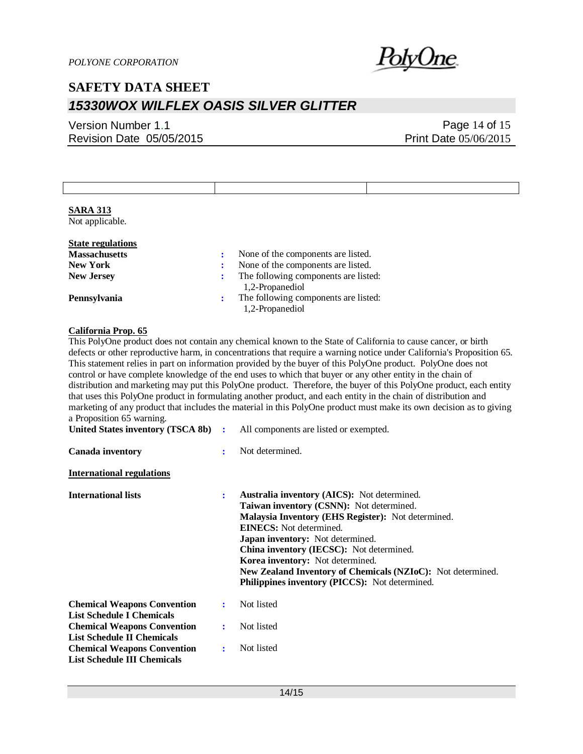

### Version Number 1.1 Revision Date 05/05/2015

### Page 14 of 15 Print Date 05/06/2015

Not applicable.

| <b>State regulations</b> |                                                         |
|--------------------------|---------------------------------------------------------|
| <b>Massachusetts</b>     | None of the components are listed.                      |
| <b>New York</b>          | None of the components are listed.                      |
| <b>New Jersey</b>        | The following components are listed:<br>1,2-Propanediol |
| Pennsylvania             | The following components are listed:<br>1,2-Propanediol |
|                          |                                                         |

### **California Prop. 65**

This PolyOne product does not contain any chemical known to the State of California to cause cancer, or birth defects or other reproductive harm, in concentrations that require a warning notice under California's Proposition 65. This statement relies in part on information provided by the buyer of this PolyOne product. PolyOne does not control or have complete knowledge of the end uses to which that buyer or any other entity in the chain of distribution and marketing may put this PolyOne product. Therefore, the buyer of this PolyOne product, each entity that uses this PolyOne product in formulating another product, and each entity in the chain of distribution and marketing of any product that includes the material in this PolyOne product must make its own decision as to giving a Proposition 65 warning.

| United States inventory (TSCA 8b) :                                      |              | All components are listed or exempted.                                                                                                                                                                                                                                                                                                                                                                                             |
|--------------------------------------------------------------------------|--------------|------------------------------------------------------------------------------------------------------------------------------------------------------------------------------------------------------------------------------------------------------------------------------------------------------------------------------------------------------------------------------------------------------------------------------------|
| Canada inventory                                                         |              | Not determined.                                                                                                                                                                                                                                                                                                                                                                                                                    |
| <b>International regulations</b>                                         |              |                                                                                                                                                                                                                                                                                                                                                                                                                                    |
| <b>International lists</b>                                               |              | <b>Australia inventory (AICS):</b> Not determined.<br>Taiwan inventory (CSNN): Not determined.<br>Malaysia Inventory (EHS Register): Not determined.<br><b>EINECS:</b> Not determined.<br><b>Japan inventory:</b> Not determined.<br>China inventory (IECSC): Not determined.<br>Korea inventory: Not determined.<br>New Zealand Inventory of Chemicals (NZIoC): Not determined.<br>Philippines inventory (PICCS): Not determined. |
| <b>Chemical Weapons Convention</b><br><b>List Schedule I Chemicals</b>   | $\mathbf{r}$ | Not listed                                                                                                                                                                                                                                                                                                                                                                                                                         |
| <b>Chemical Weapons Convention</b><br><b>List Schedule II Chemicals</b>  |              | Not listed                                                                                                                                                                                                                                                                                                                                                                                                                         |
| <b>Chemical Weapons Convention</b><br><b>List Schedule III Chemicals</b> | ÷            | Not listed                                                                                                                                                                                                                                                                                                                                                                                                                         |